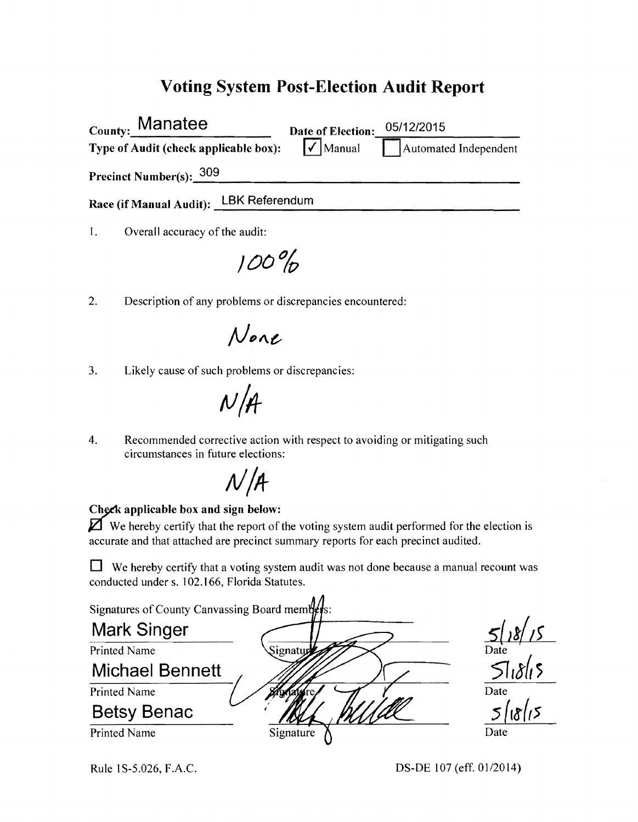## **Voting System Post-Election Audit Report**

| County: Manatee                        | Date of Election:                           | 05/12/2015            |
|----------------------------------------|---------------------------------------------|-----------------------|
| Type of Audit (check applicable box):  | $\left[\overline{\checkmark}\right]$ Manual | Automated Independent |
| Precinct Number(s): 309                |                                             |                       |
| Race (if Manual Audit): LBK Referendum |                                             |                       |

1. Overall accuracy of the audit:

**/00%** 

2. Description of any problems or discrepancies encountered:

None

3. Likely cause of such problems or discrepancies:

 $N/H$ 

4. Recommended corrective action with respect to avoiding or mitigating such circumstances in future elections:



## Check applicable box and sign below:

 $\mathbb Z$  We hereby certify that the report of the voting system audit performed for the election is accurate and that attached are precinct summary reports for each precinct audited.

 $\Box$  We hereby certify that a voting system audit was not done because a manual recount was conducted under s. 102.166, Florida Statutes.

| Signatures of County Canvassing Board members: |           |        |
|------------------------------------------------|-----------|--------|
| <b>Mark Singer</b>                             |           |        |
| <b>Printed Name</b>                            | Signatur  | Date   |
| <b>Michael Bennett</b>                         |           | 51815  |
| <b>Printed Name</b>                            |           | Date   |
| <b>Betsy Benac</b>                             |           | צו/יגו |
| <b>Printed Name</b>                            | Signature | Date   |

Rule 1S-5.026, F.A.C. DS-DE 107 (eff. 01/2014)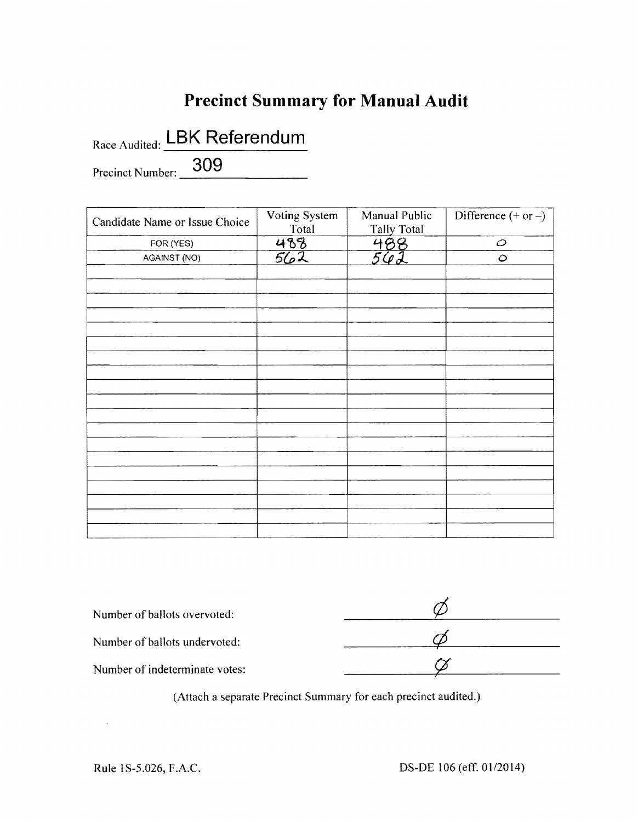## **Precinct Summary for Manual Audit**

Precinct Number: **309** Race Audited: **LBK Referendum** 

| Candidate Name or Issue Choice | Voting System<br>Total | Manual Public<br><b>Tally Total</b> | Difference $(+ or -)$ |
|--------------------------------|------------------------|-------------------------------------|-----------------------|
| FOR (YES)                      | $\frac{488}{562}$      | 488                                 | $\varphi$             |
| AGAINST (NO)                   |                        | 542                                 | $\circ$               |
|                                |                        |                                     |                       |
|                                |                        |                                     |                       |
|                                |                        |                                     |                       |
|                                |                        |                                     |                       |
|                                |                        |                                     |                       |
|                                |                        |                                     |                       |
|                                |                        |                                     |                       |
|                                |                        |                                     |                       |
|                                |                        |                                     |                       |
|                                |                        |                                     |                       |
|                                |                        |                                     |                       |
|                                |                        |                                     |                       |
|                                |                        |                                     |                       |
|                                |                        |                                     |                       |
|                                |                        |                                     |                       |
|                                |                        |                                     |                       |
|                                |                        |                                     |                       |
|                                |                        |                                     |                       |
|                                |                        |                                     |                       |

| Number of ballots overvoted:   |  |
|--------------------------------|--|
| Number of ballots undervoted:  |  |
| Number of indeterminate votes: |  |

(Attach a separate Precinct Summary for each precinct audited.)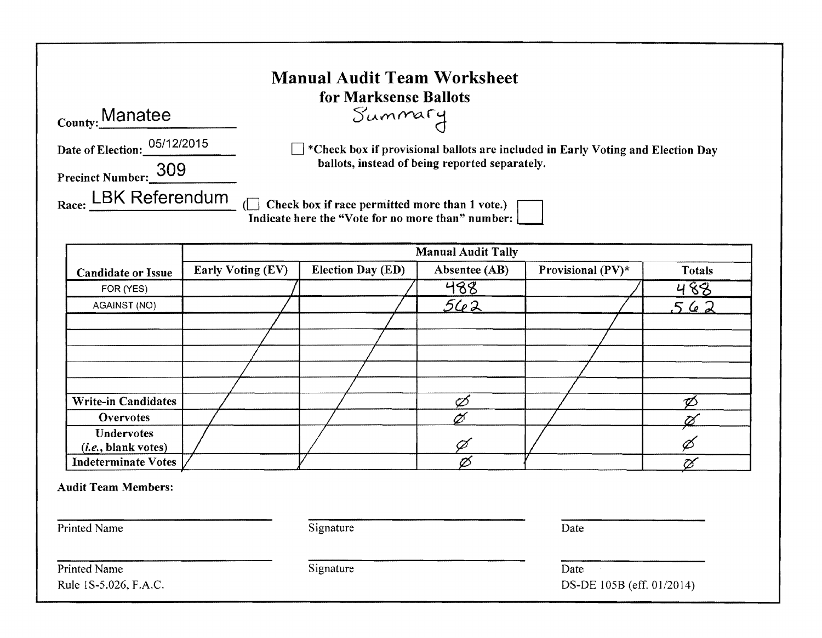|                                                                | <b>Manual Audit Team Worksheet</b><br>for Marksense Ballots                                                                                     |
|----------------------------------------------------------------|-------------------------------------------------------------------------------------------------------------------------------------------------|
| <sub>County:</sub> Manatee                                     | Summary                                                                                                                                         |
| Date of Election: 05/12/2015<br>309<br><b>Precinct Number:</b> | $\mathbb{R}^*$ Check box if provisional ballots are included in Early Voting and Election Day<br>ballots, instead of being reported separately. |
| <b>LBK Referendum</b><br>Race:                                 | Check box if race permitted more than 1 vote.)<br>Indicate here the "Vote for no more than" number:                                             |

|                              | <b>Manual Audit Tally</b> |                          |               |                      |               |
|------------------------------|---------------------------|--------------------------|---------------|----------------------|---------------|
| <b>Candidate or Issue</b>    | <b>Early Voting (EV)</b>  | <b>Election Day (ED)</b> | Absentee (AB) | Provisional $(PV)^*$ | <b>Totals</b> |
| FOR (YES)                    |                           |                          | 488           |                      | 488           |
| <b>AGAINST (NO)</b>          |                           |                          | 562           |                      | 562           |
|                              |                           |                          |               |                      |               |
|                              |                           |                          |               |                      |               |
|                              |                           |                          |               |                      |               |
|                              |                           |                          |               |                      |               |
|                              |                           |                          |               |                      |               |
| <b>Write-in Candidates</b>   |                           |                          |               |                      |               |
| Overvotes                    |                           |                          |               |                      |               |
| <b>Undervotes</b>            |                           |                          |               |                      |               |
| ( <i>i.e.</i> , blank votes) |                           |                          |               |                      |               |
| Indeterminate Votes          |                           |                          |               |                      | tX            |

| <b>Audit Team Members:</b> |  |
|----------------------------|--|
|----------------------------|--|

Printed Name Date Signature Date Date

Printed Name Date<br>
Rule 1S-5.026, F.A.C.<br>
DS-D

DS-DE 105B (eff. 01/2014)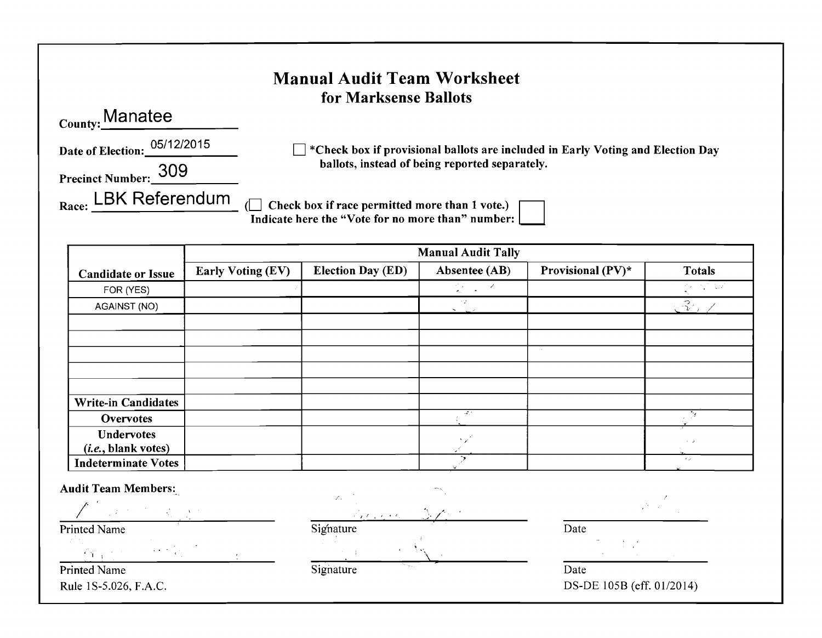|                                 | <b>Manual Audit Team Worksheet</b><br>for Marksense Ballots                                         |
|---------------------------------|-----------------------------------------------------------------------------------------------------|
| Manatee <sub>.</sub><br>County: |                                                                                                     |
| Date of Election: 05/12/2015    | *Check box if provisional ballots are included in Early Voting and Election Day                     |
| 309<br><b>Precinct Number:</b>  | ballots, instead of being reported separately.                                                      |
| <b>LBK Referendum</b><br>Race:  | Check box if race permitted more than 1 vote.)<br>Indicate here the "Vote for no more than" number: |

|                                                   | <b>Manual Audit Tally</b> |                          |                                         |                   |                |
|---------------------------------------------------|---------------------------|--------------------------|-----------------------------------------|-------------------|----------------|
| <b>Candidate or Issue</b>                         | Early Voting (EV)         | <b>Election Day (ED)</b> | Absentee (AB)                           | Provisional (PV)* | <b>Totals</b>  |
| FOR (YES)                                         |                           |                          | $\mathbb{Q}^2 \times \mathbb{R}^2$      |                   | ्र पायर        |
| AGAINST (NO)                                      |                           |                          | 12.<br><b>San Line</b>                  |                   | $\mathbb{R}^2$ |
|                                                   |                           |                          |                                         |                   |                |
|                                                   |                           |                          |                                         |                   |                |
|                                                   |                           |                          |                                         |                   |                |
|                                                   |                           |                          |                                         |                   |                |
|                                                   |                           |                          |                                         |                   |                |
| <b>Write-in Candidates</b>                        |                           |                          |                                         |                   |                |
| <b>Overvotes</b>                                  |                           |                          | $\mathcal{L}^{(1)}_{\mathcal{L}^{(2)}}$ |                   |                |
| <b>Undervotes</b><br>( <i>i.e.</i> , blank votes) |                           |                          | $\Delta \sim 10^4$<br>SK.               |                   | $\sim$ $\sim$  |
| <b>Indeterminate Votes</b>                        |                           |                          |                                         |                   | in 2           |

Audit Team Members:

 $/$  , and the system of  $\mathcal{L}$  , and  $\mathcal{L}$ 

, the set of the set of the set of the set of the set of the set of the set of the set of the set of the set of the set of the set of the set of the set of the set of the set of the set of the set of the set of the set of

Printed Name Signature

Printed Name Date Date Communication of the Signature Date Date

Date Rule 1S-5.026, F.A.C. DS-DE 1058 (eff. 01/2014)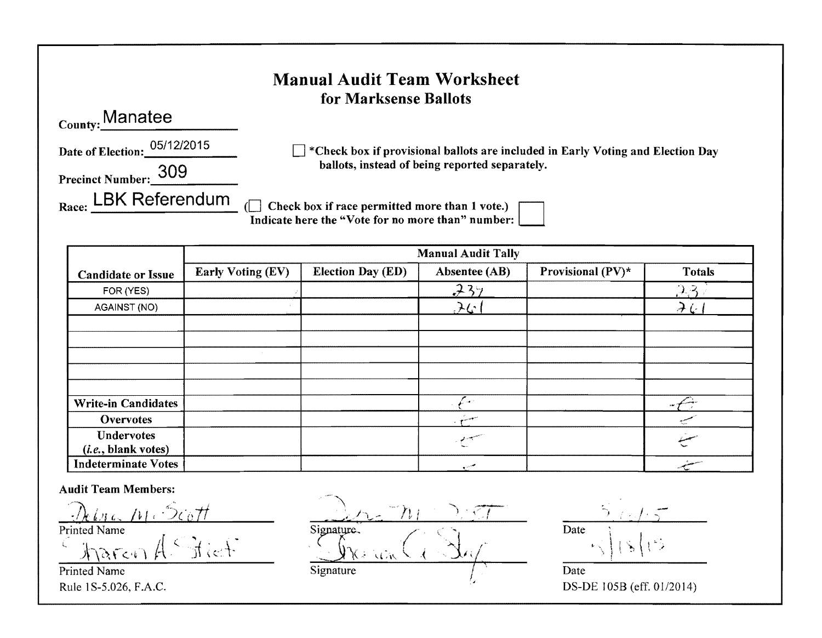|                                 | <b>Manual Audit Team Worksheet</b><br>for Marksense Ballots                                         |
|---------------------------------|-----------------------------------------------------------------------------------------------------|
| County: Manatee                 |                                                                                                     |
| 05/12/2015<br>Date of Election: | *Check box if provisional ballots are included in Early Voting and Election Day                     |
| 309<br><b>Precinct Number:</b>  | ballots, instead of being reported separately.                                                      |
| LBK Referendum<br>Race:         | Check box if race permitted more than 1 vote.)<br>Indicate here the "Vote for no more than" number: |

|                            | <b>Manual Audit Tally</b> |                          |                |                   |               |
|----------------------------|---------------------------|--------------------------|----------------|-------------------|---------------|
| <b>Candidate or Issue</b>  | Early Voting (EV)         | <b>Election Day (ED)</b> | Absentee (AB)  | Provisional (PV)* | <b>Totals</b> |
| FOR (YES)                  |                           |                          | 737            |                   | 2.3           |
| AGAINST (NO)               |                           |                          | 261            |                   | $\lambda$ (   |
|                            |                           |                          |                |                   |               |
|                            |                           |                          |                |                   |               |
|                            |                           |                          |                |                   |               |
|                            |                           |                          |                |                   |               |
|                            |                           |                          |                |                   |               |
| <b>Write-in Candidates</b> |                           |                          | <b>Section</b> |                   | re 1          |
| <b>Overvotes</b>           |                           |                          | المستجد بريد   |                   |               |
| <b>Undervotes</b>          |                           |                          |                |                   |               |
| (i.e., blank votes)        |                           |                          |                |                   |               |
| <b>Indeterminate Votes</b> |                           |                          |                |                   | ستشير         |

Printed Name

Audit Team Members: ,7, , /. '~7k <sup>f</sup> /')\$ L *hi* i '"?"fltt  $\frac{P}{\text{Printed Name}}$  Signature.  $\frac{\int \sqrt{2\pi c \cdot r}}{\int \frac{1}{2\pi c \cdot r}} \frac{1}{\int \frac{1}{c} \cdot \int \frac{1}{c} \cdot \frac{1}{c} \cdot \int \frac{1}{c} \cdot \int \frac{1}{c} \cdot \int \frac{1}{c} \cdot \int \frac{1}{c} \cdot \int \frac{1}{c} \cdot \int \frac{1}{c} \cdot \int \frac{1}{c} \cdot \int \frac{1}{c} \cdot \int \frac{1}{c} \cdot \int \frac{1}{c} \cdot \int \frac{1}{c} \cdot \int \frac{1}{c} \cdot \int \frac{1}{c} \cdot \int \frac{1}{c} \cdot$ 

Rule 1 S-5.026, F.A.C. DS-DE 105B (eff. 01/2014)